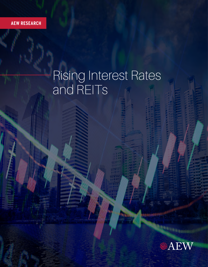**AEW RESEARCH AEW RESEARCH**

# Rising Interest Rates and REITs

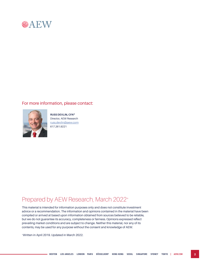

#### For more information, please contact:



**RUSS DEVLIN, CFA®** Director, AEW Research russ.devlin@aew.com 617.261.9221

### Prepared by AEW Research, March 2022\*

This material is intended for information purposes only and does not constitute investment advice or a recommendation. The information and opinions contained in the material have been compiled or arrived at based upon information obtained from sources believed to be reliable, but we do not guarantee its accuracy, completeness or fairness. Opinions expressed reflect prevailing market conditions and are subject to change. Neither this material, nor any of its contents, may be used for any purpose without the consent and knowledge of AEW.

\* Written in April 2019. Updated in March 2022.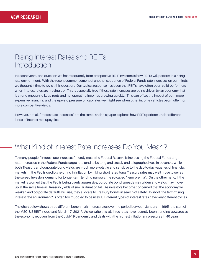### Rising Interest Rates and REITs Introduction

In recent years, one question we hear frequently from prospective REIT investors is how REITs will perform in a rising rate environment. With the recent commencement of another sequence of Federal Funds rate increases on our minds, we thought it time to revisit this question. Our typical response has been that REITs have often been solid performers when interest rates are moving up. This is especially true if those rate increases are being driven by an economy that is strong enough to keep rents and net operating incomes growing quickly. This can offset the impact of both more expensive financing and the upward pressure on cap rates we might see when other income vehicles begin offering more competitive yields.

However, not all "interest rate increases" are the same, and this paper explores how REITs perform under different kinds of interest rate upcycles.

# What Kind of Interest Rate Increases Do You Mean?

To many people, "interest rate increases" merely mean the Federal Reserve is increasing the Federal Funds target rate. Increases in the Federal Funds target rate tend to be long and steady and telegraphed well in advance, while both Treasury and corporate bond yields are much more volatile and sensitive to the day-to-day vagaries of financial markets. If the Fed is credibly reigning in inflation by hiking short rates, long Treasury rates may well move lower as the spread investors demand for longer-term lending narrows, the so-called "term premia". On the other hand, if the market is worried that the Fed is being overly aggressive, corporate bond spreads may widen and yields may move up at the same time as Treasury yields of similar duration fall. As investors become concerned that the economy will weaken and corporate defaults will rise, they allocate to Treasury bonds in search of safety. In short, the term "rising interest rate environment" is often too muddled to be useful. Different types of interest rates have very different cycles.

The chart below shows three different benchmark interest rates over the period between January 1, 1995 (the start of the MSCI US REIT index) and March 17, 20211. As we write this, all three rates have recently been trending upwards as the economy recovers from the Covid-19 pandemic and deals with the highest inflationary pressures in 40 years.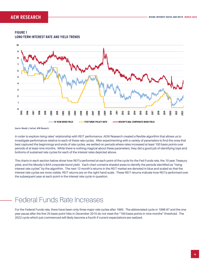

#### **FIGURE 1 LONG-TERM INTEREST RATE AND YIELD TRENDS**

Source: Moody's, Factset, AEW Research

In order to explore rising rates' relationship with REIT performance, AEW Research created a flexible algorithm that allows us to investigate performance relative to each of these rate cycles. After experimenting with a variety of parameters to find the ones that best captured the beginnings and ends of rate cycles, we settled on periods where rates increased at least 100 basis points over periods of at least nine months. While there is nothing magical about these parameters, they did a good job of identifying tops and bottoms of sustained rate cycles for each of the interest rates depicted above.

The charts in each section below show how REITs performed at each point of the cycle for the Fed Funds rate, the 10 year Treasury yield, and the Moody's BAA corporate bond yield. Each chart contains shaded areas to identify the periods identified as "rising interest rate cycles" by the algorithm. The next 12 month's returns in the REIT market are denoted in blue and scaled so that the interest rate cycles are more visible. REIT returns are on the right hand scale. These REIT returns indicate how REITs performed over the subsequent year at each point in the interest rate cycle in question.

## Federal Funds Rate Increases

For the Federal Funds rate, there have been only three major rate cycles after 1995. The abbreviated cycle in 1996-97 and the one year pause after the first 25 basis point hike in December 2015 do not meet the "100 basis points in nine months" threshold. The 2022 cycle which just commenced will likely become a fourth if current expectations are realized.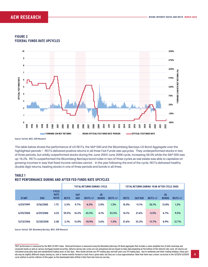### **AEW RESEARCH**





Source: Factset, MSCI, AEW Research

The table below shows the performance of US REITs, the S&P 500 and the Bloomberg Barclays US Bond Aggregate over the highlighted periods 2. REITs delivered positive returns in all three Fed Funds rate upcycles. They underperformed stocks in two of three periods, but wildly outperformed stocks during the June 2004-June 2006 cycle, increasing 59.5% while the S&P 500 was up 16.2%. REITs outperformed the Bloomberg Barclays bond index in two of three cycles as real estate was able to capitalize on growing incomes in way that fixed income vehicles cannot. In the year following the end of the cycle, REITs delivered healthy double digit returns, beating stocks in one of three periods and bonds in all three.

### **TABLE 1 REIT PERFORMANCE DURING AND AFTER FED FUNDS RATE UPCYCLES**

|              |            |                                            | <b>TOTAL RETURNS DURING CYCLE</b> |                       |             |                           |             | TOTAL RETURNS DURING YEAR AFTER CYCLE ENDS |                    |             |                           |             |  |
|--------------|------------|--------------------------------------------|-----------------------------------|-----------------------|-------------|---------------------------|-------------|--------------------------------------------|--------------------|-------------|---------------------------|-------------|--|
| <b>START</b> | <b>END</b> | <b>CYCLE</b><br><b>RATE</b><br><b>MOVE</b> | <b>REITS</b>                      | <b>S&amp;P</b><br>500 | REITS $+/-$ | <b>US</b><br><b>BONDS</b> | REITS $+/-$ | <b>REITS</b>                               | <b>S&amp;P 500</b> | REITS $+/-$ | <b>US</b><br><b>BONDS</b> | REITS $+/-$ |  |
| 6/29/1999    | 5/16/2000  | 1.75                                       | 3.3%                              | 9.7%                  | $-6.3%$     | 2.0%                      | 1.3%        | 15.0%                                      | $-11.1%$           | 26.1%       | 13.8%                     | 1.2%        |  |
| 6/29/2004    | 6/29/2006  | 4.25                                       | 59.5%                             | 16.2%                 | 43.3%       | 6.1%                      | 53.5%       | 16.1%                                      | 21.6%              | $-5.5%$     | 6.7%                      | 9.5%        |  |
| 12/13/2016   | 12/20/2018 | 2.00                                       | 2.1%                              | 13.0%                 | $-10.9%$    | 3.6%                      | $-1.5%$     | 21.6%                                      | 33.3%              | $-11.7%$    | 8.9%                      | 12.7%       |  |

Source: Factset, S&P, Bloomberg Barclays, MSCI, AEW Research

<sup>2</sup> REIT performance is measured by the MSCI US REIT index. Bond performance is measured using the Bloomberg Barclays US Bond aggregate that includes a value weighted mix of both sovereign and corporate bonds as well as various mortgage backed securities. Returns during rate cycles are not annualized and are based on daily data beginning at the bottom of the interest rate cycle. All returns are calculated using daily data and standardized trading years of 262 days. Nine month periods use 197 trading days and half years use 131 trading days. Due to weekends and other trading holidays, these periods may be slightly different simply moving six, nine or twelve months forward or back from a given date, but they are a close approximation. Note that there was a minor correction in the 12/13/16-12/20/18 cycle relative to earlier editions of this paper as the downloaded data shifted a Feds Fund rate move by one day.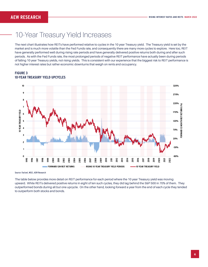### 10-Year Treasury Yield Increases

The next chart illustrates how REITs have performed relative to cycles in the 10 year Treasury yield. The Treasury yield is set by the market and is much more volatile than the Fed Funds rate, and consequently there are many more cycles to explore. Here too, REIT have generally performed well during rising rate periods and have generally delivered positive returns both during and after such periods. As with the Fed Funds rate, the most prolonged periods of negative REIT performance have actually been during periods of falling 10 year Treasury yields, not rising yields. This is consistent with our experience that the biggest risk to REIT performance is not higher interest rates but rather economic downturns that weigh on rents and occupancy.

**FIGURE 3 10-YEAR TREASURY YIELD UPCYCLES**



Source: Factset, MSCI, AEW Research

The table below provides more detail on REIT performance for each period where the 10 year Treasury yield was moving upward. While REITs delivered positive returns in eight of ten such cycles, they did lag behind the S&P 500 in 70% of them. They outperformed bonds during all but one upcycle. On the other hand, looking forward a year from the end of each cycle they tended to outperform both stocks and bonds.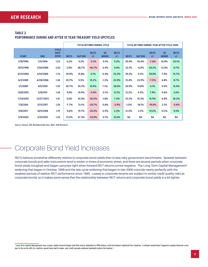|              |            |                                            | <b>TOTAL RETURNS DURING CYCLE</b> |                    |                       |                           | <b>TOTAL RETURNS DURING YEAR AFTER CYCLE ENDS</b> |              |                    |                       |                           |                       |
|--------------|------------|--------------------------------------------|-----------------------------------|--------------------|-----------------------|---------------------------|---------------------------------------------------|--------------|--------------------|-----------------------|---------------------------|-----------------------|
| <b>START</b> | <b>END</b> | <b>CYCLE</b><br><b>RATE</b><br><b>MOVE</b> | <b>REITS</b>                      | <b>S&amp;P 500</b> | <b>REITS</b><br>$+/-$ | <b>US</b><br><b>BONDS</b> | <b>REITS</b><br>$+/-$                             | <b>REITS</b> | <b>S&amp;P 500</b> | <b>REITS</b><br>$+/-$ | <b>US</b><br><b>BONDS</b> | <b>REITS</b><br>$+/-$ |
| 1/18/1996    | 7/5/1996   | 1.53                                       | 6.2%                              | 9.2%               | $-3.1%$               | $-3.1%$                   | 9.3%                                              | 35.0%        | 42.6%              | $-7.6%$               | 10.9%                     | 24.1%                 |
| 10/5/1998    | 1/20/2000  | 2.63                                       | 2.0%                              | 48.7%              | $-46.7%$              | $-2.4%$                   | 4.4%                                              | 22.1%        | $-6.0%$            | 28.2%                 | 13.4%                     | 8.7%                  |
| 6/13/2003    | 6/14/2004  | 1.76                                       | 20.9%                             | 15.8%              | 5.1%                  | $-2.4%$                   | 23.3%                                             | 39.2%        | 9.2%               | 30.0%                 | 7.5%                      | 31.7%                 |
| 6/2/2005     | 6/28/2006  | 1.36                                       | 20.7%                             | 5.5%               | 15.2%                 | $-1.3%$                   | 22.0%                                             | 15.4%        | 22.9%              | $-7.5%$               | 6.8%                      | 8.7%                  |
| 1/1/2009     | 4/5/2010   | 1.93                                       | 45.7%                             | 35.3%              | 10.4%                 | 7.1%                      | 38.6%                                             | 20.9%        | 14.8%              | 6.1%                  | 5.5%                      | 15.4%                 |
| 10/8/2010    | 2/8/2011   | 1.34                                       | 9.0%                              | 14.4%              | $-5.4%$               | $-3.1%$                   | 12.1%                                             | 12.2%        | 4.3%               | 7.9%                  | 9.6%                      | 2.6%                  |
| 7/24/2012    | 12/27/2013 | 1.61                                       | 5.6%                              | 42.0%              | $-36.5%$              | $-1.8%$                   | 7.4%                                              | 32.2%        | 15.3%              | 16.9%                 | 6.0%                      | 26.2%                 |
| 7/8/2016     | 3/13/2017  | 1.26                                       | $-7.7%$                           | 13.1%              | $-20.7%$              | $-3.8%$                   | $-3.9%$                                           | $-1.5%$      | 18.1%              | $-19.6%$              | 2.1%                      | $-3.6%$               |
| 9/8/2017     | 10/5/2018  | 1.19                                       | $-0.6%$                           | 19.7%              | $-20.3%$              | $-2.9%$                   | 2.3%                                              | 21.5%        | 2.3%               | 19.2%                 | 12.1%                     | 9.5%                  |
| 3/9/2020     | 3/31/2021  | 1.24                                       | 13.5%                             | 47.3%              | $-33.8%$              | $-2.1%$                   | 15.6%                                             | <b>NA</b>    | <b>NA</b>          | ΝA                    | <b>NA</b>                 | <b>NA</b>             |

#### **TABLE 2 PERFORMANCE DURING AND AFTER 10 YEAR TREASURY YIELD UPCYCLES**

Source: Factset, S&P, Bloomberg Barclays, MSCI, AEW Research

# Corporate Bond Yield Increases

REITs behave somewhat differently relative to corporate bond yields than to less risky government benchmarks. Spreads between corporate bonds and safer instruments tend to widen in times of economic stress, and there are several periods when corporate bond yields troughed and began upcycles right when forward REIT returns turned negative. The Long Term Capital Management<sup>3</sup> widening that began in October 1998 and the late cycle widening that began in late 2006 coincide nearly perfectly with the weakest periods of relative REIT performance since 1995. Leases to corporate tenants are subject to similar credit quality risks as corporate bonds, so it makes some sense that the relationship between REIT returns and corporate bond yields is a bit tighter.

 $^{\rm 3}$  Long Term Capital Management was a large, highly levered hedge fund that nearly defaulted in 1998 before a Fed-led bailout stabilized the situation. A default would have triggered a global financial crisis due to the write-offs its creditors would have had to make, and credit spreads widened markedly before the bailout.--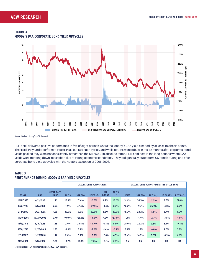

#### **FIGURE 4 MOODY'S BAA CORPORATE BOND YIELD UPCYCLES**

Source: Factset, Moody's, AEW Research

REITs still delivered positive performance in five of eight periods where the Moody's BAA yield climbed by at least 100 basis points. That said, they underperformed stocks in all but two such cycles, and while returns were robust in the 12 months after corporate bond yields peaked they were not consistently better than the S&P 500. In absolute terms, REITs did best in the long periods where BAA yields were trending down, most often due to strong economic conditions. They did generally outperform US bonds during and after corporate bond yield upcycles with the notable exception of 2006-2008.

### **TABLE 3 PERFORMANCE DURING MOODY'S BAA YIELD UPCYCLES**

|              |            |                                  |              |                    | <b>TOTAL RETURNS DURING CYCLE</b> |                           |                       | TOTAL RETURNS DURING YEAR AFTER CYCLE ENDS |                    |             |                 |             |  |
|--------------|------------|----------------------------------|--------------|--------------------|-----------------------------------|---------------------------|-----------------------|--------------------------------------------|--------------------|-------------|-----------------|-------------|--|
| <b>START</b> | <b>END</b> | <b>CYCLE RATE</b><br><b>MOVE</b> | <b>REITS</b> | <b>S&amp;P 500</b> | REITS $+/-$                       | <b>US</b><br><b>BONDS</b> | <b>REITS</b><br>$+/-$ | <b>REITS</b>                               | <b>S&amp;P 500</b> | REITS $+/-$ | <b>US BONDS</b> | REITS $+/-$ |  |
| 10/11/1995   | 6/11/1996  | 1.16                             | 10.9%        | 17.6%              | $-6.7%$                           | 0.7%                      | 10.2%                 | 31.6%                                      | 34.5%              | $-2.9%$     | 9.8%            | 21.8%       |  |
| 10/2/1998    | 5/17/2000  | 2.23                             | 7.9%         | 47.4%              | $-39.5%$                          | $-0.4%$                   | 8.3%                  | 16.2%                                      | $-9.7%$            | 25.9%       | 14.0%           | 2.2%        |  |
| 2/8/2005     | 6/23/2006  | 1.30                             | 28.8%        | 6.2%               | 22.6%                             | 0.0%                      | 28.8%                 | 15.7%                                      | 22.2%              | $-6.5%$     | 6.4%            | 9.3%        |  |
| 11/30/2006   | 10/29/2008 | 3.49                             | $-49.0%$     | $-31.0%$           | $-18.0%$                          | 4.7%                      | $-53.8%$              | 11.7%                                      | 14.4%              | $-2.7%$     | 13.5%           | $-1.8%$     |  |
| 11/7/2012    | 8/16/2013  | 1.16                             | 2.4%         | 20.8%              | $-18.4%$                          | $-3.3%$                   | 5.8%                  | 25.0%                                      | 22.2%              | 2.8%        | 5.7%            | 19.3%       |  |
| 1/30/2015    | 12/28/2015 | 1.25                             | $-3.8%$      | 5.1%               | $-9.0%$                           | $-1.4%$                   | $-2.5%$               | 5.9%                                       | 11.9%              | $-6.0%$     | 2.0%            | 3.8%        |  |
| 12/14/2017   | 11/28/2018 | 1.14                             | 2.6%         | 5.4%               | $-2.8%$                           | $-2.0%$                   | 4.5%                  | 17.4%                                      | 16.9%              | 0.6%        | 10.9%           | 6.6%        |  |
| 11/8/2021    | 3/14/2022  | 1.38                             | $-3.7%$      | $-10.8%$           | 7.0%                              | $-6.1%$                   | 2.3%                  | <b>NA</b>                                  | <b>NA</b>          | <b>NA</b>   | <b>NA</b>       | <b>NA</b>   |  |

Source: Factset, S&P, Bloomberg Barclays, MSCI, AEW Research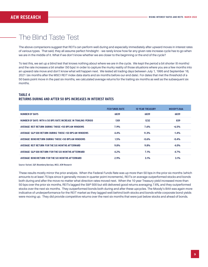### The Blind Taste Test

The above comparisons suggest that REITs can perform well during and especially immediately after upward moves in interest rates of various types. That said, they all assume perfect hindsight – we rarely know how far any given rate increase cycle has to go when we are in the middle of it. What if we don't know whether we are closer to the beginning or the end of the cycle?

To test this, we set up a blind test that knows nothing about where we are in the cycle. We kept the period a bit shorter (6 months) and the rate increases a bit smaller (50 bps) in order to capture the murky reality of those situations where you are a few months into an upward rate move and don't know what will happen next. We tested all trading days between July 1, 1995 and September 16, 2021 (six months after the MSCI REIT index data starts and six months before our end date). For dates that met the threshold of a 50 basis point move in the past six months, we calculated average returns for the trailing six months as well as the subsequent six months.

### **TABLE 4 RETURNS DURING AND AFTER 50 BPS INCREASES IN INTEREST RATES**

|                                                               | <b>FED FUNDS RATE</b> | <b>10 YEAR TREASURY</b> | <b>MOODY'S BAA</b> |
|---------------------------------------------------------------|-----------------------|-------------------------|--------------------|
| <b>NUMBER OF DAYS</b>                                         | 6839                  | 6839                    | 6839               |
| NUMBER OF DAYS WITH A 50 BPS RATE INCREASE IN TRAILING PERIOD | 1301                  | 1232                    | 839                |
| AVERAGE REIT RETURN DURING THOSE +50 BPS 6M WINDOWS           | 7.9%                  | 7.6%                    | $-6.5%$            |
| AVERAGE S&P 500 RETURN DURING THOSE +50 BPS 6M WINDOWS        | 4.4%                  | 11.3%                   | $-1.4%$            |
| AVERAGE BOND RETURN DURING THOSE +50 BPS 6M WINDOWS           | 1.5%                  | $-0.6%$                 | $-0.4%$            |
| AVERAGE REIT RETURN FOR THE SIX MONTHS AFTERWARD              | 9.8%                  | 9.8%                    | 4.0%               |
| AVERAGE S&P 500 RETURN FOR THE SIX MONTHS AFTERWARD           | 4.2%                  | 7.1%                    | 4.7%               |
| AVERAGE BOND RETURN FOR THE SIX MONTHS AFTERWARD              | 2.9%                  | 3.1%                    | 3.1%               |

Source: Factset, S&P, Bloomberg Barclays, MSCI, AEW Research

These results mostly mirror the prior analysis. When the Federal Funds Rate was up more than 50 bps in the prior six months (which amounts to at least 75 bps since it generally moves in quarter point increments), REITs on average outperformed stocks and bonds both during and after the move no matter what direction rates moved next. When the 10 year Treasury yield increased more than 50 bps over the prior six months, REITs lagged the S&P 500 but still delivered good returns averaging 7.6%, and they outperformed stocks over the next six months. They outperformed bonds both during and after these upcycles. The Moody's BAA was again more indicative of underperformance for the REIT market as they lagged well behind both stocks and bonds while corporate bond yields were moving up. They did provide competitive returns over the next six months that were just below stocks and ahead of bonds.